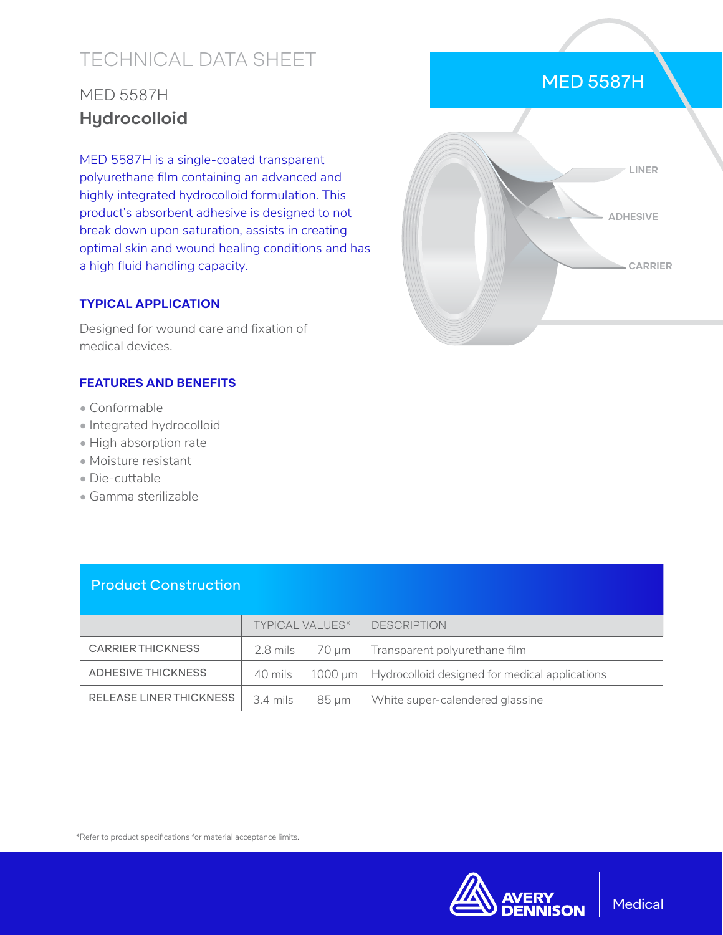# TECHNICAL DATA SHEET

## MED 5587H **Hydrocolloid**

MED 5587H is a single-coated transparent polyurethane film containing an advanced and highly integrated hydrocolloid formulation. This product's absorbent adhesive is designed to not break down upon saturation, assists in creating optimal skin and wound healing conditions and has a high fluid handling capacity.

#### **TYPICAL APPLICATION**

Designed for wound care and fixation of medical devices.

#### **FEATURES AND BENEFITS**

- Conformable
- Integrated hydrocolloid
- High absorption rate
- Moisture resistant
- Die-cuttable
- Gamma sterilizable

| <b>Product Construction</b> |                        |              |                                                |  |  |
|-----------------------------|------------------------|--------------|------------------------------------------------|--|--|
|                             | <b>TYPICAL VALUES*</b> |              | <b>DESCRIPTION</b>                             |  |  |
| <b>CARRIER THICKNESS</b>    | $2.8$ mils             | 70 um        | Transparent polyurethane film                  |  |  |
| ADHESIVE THICKNESS          | 40 mils                | $1000 \mu m$ | Hydrocolloid designed for medical applications |  |  |
| RELEASE LINER THICKNESS     | $3.4$ mils             | $85 \mu m$   | White super-calendered glassine                |  |  |



### MED 5587H